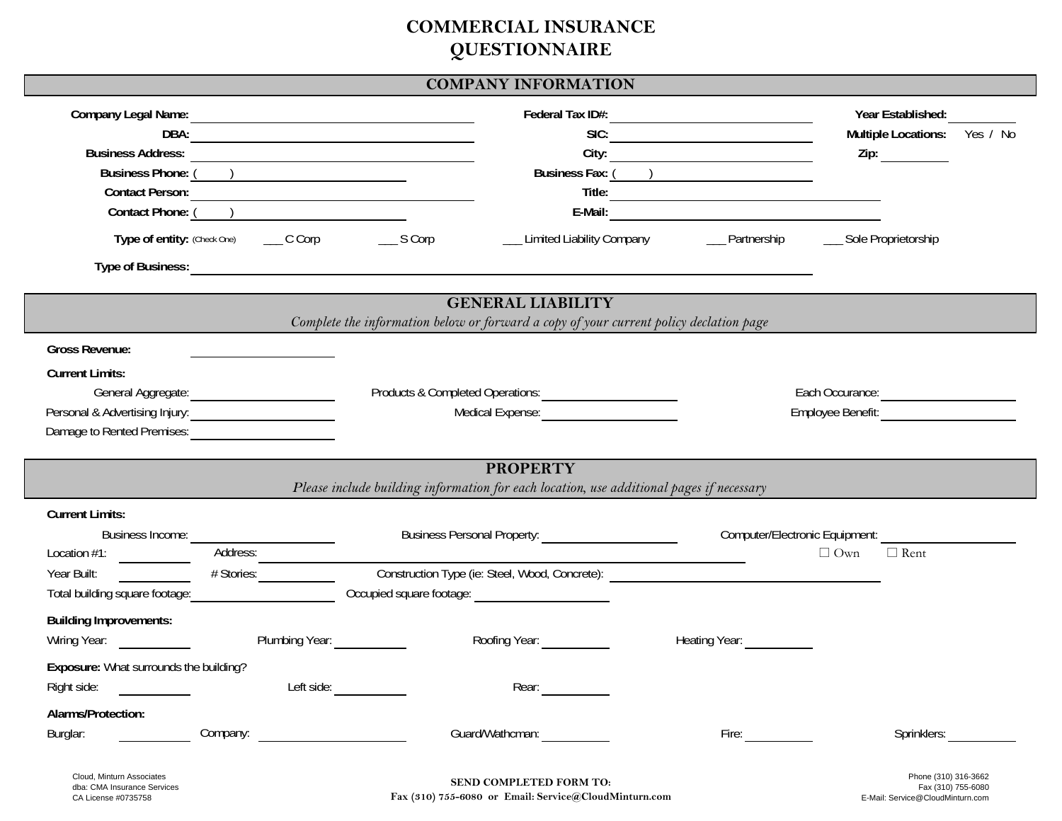## **COMMERCIAL INSURANCE QUESTIONNAIRE**

## **COMPANY INFORMATION**

| DBA:<br><u> 1989 - Andrea Andrew Maria (h. 1989).</u><br><b>Business Address:</b><br><b>Business Phone: (</b><br><u> 1989 - Johann Barbara, martin amerikan basar dan basa dalam pengaran basar dalam basa dalam pengaran basa dala</u>                                                                                                                                 |                                              |                                         | SIC:<br>Business Fax: ( <u>)</u>                                                                                                                                                                                                                                                                                                                                                                              | Year Established:<br><b>Multiple Locations:</b><br>Yes / No<br>Zip: and the state of the state of the state of the state of the state of the state of the state of the state |                                            |  |
|-------------------------------------------------------------------------------------------------------------------------------------------------------------------------------------------------------------------------------------------------------------------------------------------------------------------------------------------------------------------------|----------------------------------------------|-----------------------------------------|---------------------------------------------------------------------------------------------------------------------------------------------------------------------------------------------------------------------------------------------------------------------------------------------------------------------------------------------------------------------------------------------------------------|------------------------------------------------------------------------------------------------------------------------------------------------------------------------------|--------------------------------------------|--|
| <b>Contact Person:</b><br><u> 1980 - Jan Barnett, fransk politik (</u><br>Contact Phone: (                                                                                                                                                                                                                                                                              |                                              |                                         | Title:                                                                                                                                                                                                                                                                                                                                                                                                        | <u> 1980 - Jan Samuel Barbara, martin din shekara 1980 - An tsara 1980 - An tsara 1980 - An tsara 1980 - An tsar</u>                                                         |                                            |  |
|                                                                                                                                                                                                                                                                                                                                                                         | Type of entity: (Check One) ______ C Corp    | $\frac{1}{2}$ S Corp                    | __ Limited Liability Company                                                                                                                                                                                                                                                                                                                                                                                  | __ Partnership                                                                                                                                                               | __ Sole Proprietorship                     |  |
|                                                                                                                                                                                                                                                                                                                                                                         |                                              |                                         |                                                                                                                                                                                                                                                                                                                                                                                                               |                                                                                                                                                                              |                                            |  |
|                                                                                                                                                                                                                                                                                                                                                                         |                                              |                                         | <b>GENERAL LIABILITY</b><br>Complete the information below or forward a copy of your current policy declation page                                                                                                                                                                                                                                                                                            |                                                                                                                                                                              |                                            |  |
| <b>Gross Revenue:</b><br><b>Current Limits:</b><br>Personal & Advertising Injury: 2008. [2010] Personal & Advertising Injury:<br>Damage to Rented Premises:<br><u> Letter and the set of the set of the set of the set of the set of the set of the set of the set of the set of the set of the set of the set of the set of the set of the set of the set of the s</u> |                                              | Medical Expense: <u>_______________</u> |                                                                                                                                                                                                                                                                                                                                                                                                               | <b>Employee Benefit:</b>                                                                                                                                                     |                                            |  |
|                                                                                                                                                                                                                                                                                                                                                                         |                                              |                                         | <b>PROPERTY</b>                                                                                                                                                                                                                                                                                                                                                                                               |                                                                                                                                                                              |                                            |  |
| <b>Current Limits:</b><br>Location $#1$ :                                                                                                                                                                                                                                                                                                                               | Business Income:<br>Address:                 |                                         | Please include building information for each location, use additional pages if necessary<br><b>Business Personal Property:</b>                                                                                                                                                                                                                                                                                | Computer/Electronic Equipment:<br>$\Box$ Own<br>$\Box$ Rent                                                                                                                  |                                            |  |
| Year Built:                                                                                                                                                                                                                                                                                                                                                             | # Stories:<br>Total building square footage: |                                         | Construction Type (ie: Steel, Wood, Concrete): _________________________________                                                                                                                                                                                                                                                                                                                              |                                                                                                                                                                              |                                            |  |
| <b>Building Improvements:</b>                                                                                                                                                                                                                                                                                                                                           | Plumbing Year: 1997                          |                                         | Roofing Year:                                                                                                                                                                                                                                                                                                                                                                                                 |                                                                                                                                                                              |                                            |  |
| Exposure: What surrounds the building?<br>Right side:                                                                                                                                                                                                                                                                                                                   | Left side:                                   |                                         | Rear: $\frac{1}{\sqrt{1-\frac{1}{2}}\sqrt{1-\frac{1}{2}}\sqrt{1-\frac{1}{2}}\sqrt{1-\frac{1}{2}}\sqrt{1-\frac{1}{2}}\sqrt{1-\frac{1}{2}}\sqrt{1-\frac{1}{2}}\sqrt{1-\frac{1}{2}}\sqrt{1-\frac{1}{2}}\sqrt{1-\frac{1}{2}}\sqrt{1-\frac{1}{2}}\sqrt{1-\frac{1}{2}}\sqrt{1-\frac{1}{2}}\sqrt{1-\frac{1}{2}}\sqrt{1-\frac{1}{2}}\sqrt{1-\frac{1}{2}}\sqrt{1-\frac{1}{2}}\sqrt{1-\frac{1}{2}}\sqrt{1-\frac{1}{2}}$ |                                                                                                                                                                              |                                            |  |
| Alarms/Protection:<br>Burglar:                                                                                                                                                                                                                                                                                                                                          | Company: <u>company:</u>                     |                                         |                                                                                                                                                                                                                                                                                                                                                                                                               | Fire: $\qquad \qquad$                                                                                                                                                        | Sprinklers:                                |  |
| Cloud, Minturn Associates<br>dba: CMA Insurance Services                                                                                                                                                                                                                                                                                                                |                                              |                                         | <b>SEND COMPLETED FORM TO:</b>                                                                                                                                                                                                                                                                                                                                                                                |                                                                                                                                                                              | Phone (310) 316-3662<br>Fax (310) 755-6080 |  |

**Fax (310) 755-6080 or Email: Service@CloudMinturn.com** 

E-Mail: Service@CloudMinturn.com

CA License #0735758